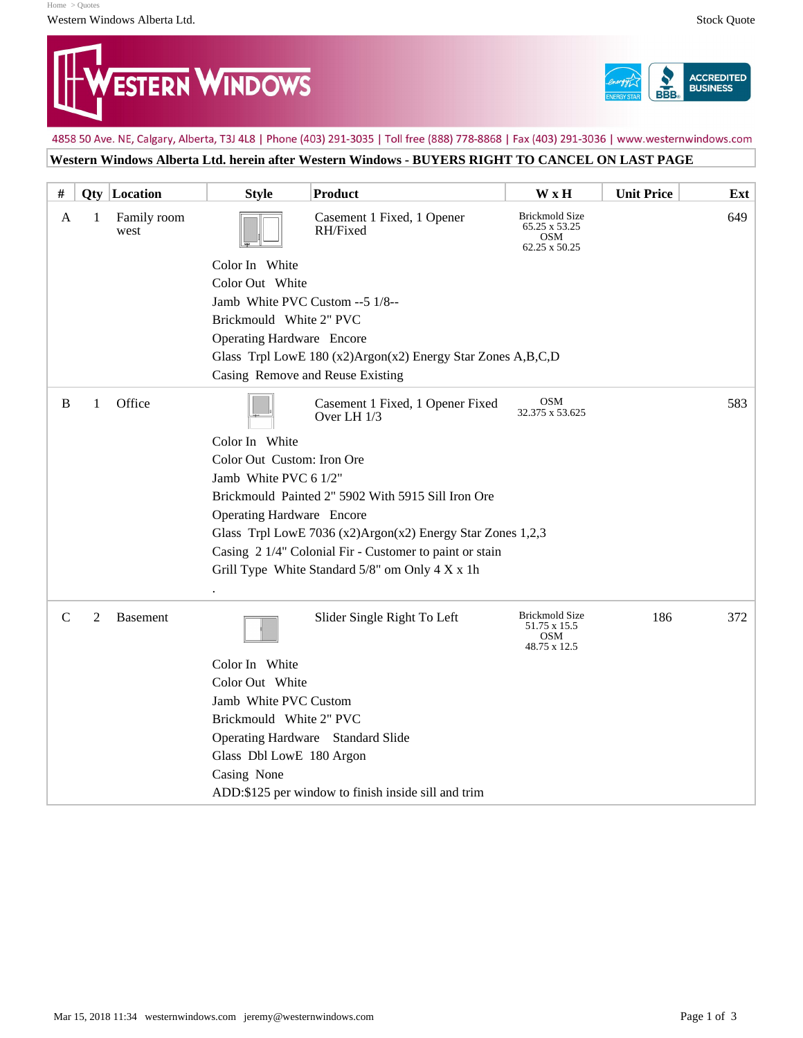[Home](https://sv05.fenestratio.com/fenestratio/home.jsp) [> Quotes](https://sv05.fenestratio.com/fenestratio/quotelist.jsp) Western Windows Alberta Ltd. Stock Quote





4858 50 Ave. NE, Calgary, Alberta, T3J 4L8 | Phone (403) 291-3035 | Toll free (888) 778-8868 | Fax (403) 291-3036 | www.westernwindows.com

## **Western Windows Alberta Ltd. herein after Western Windows - BUYERS RIGHT TO CANCEL ON LAST PAGE**

| #             |                | <b>Qty</b> Location | <b>Style</b>                                                 | <b>Product</b>                                      | W x H                                                                 | <b>Unit Price</b> | Ext |
|---------------|----------------|---------------------|--------------------------------------------------------------|-----------------------------------------------------|-----------------------------------------------------------------------|-------------------|-----|
| A             | 1              | Family room<br>west |                                                              | Casement 1 Fixed, 1 Opener<br>RH/Fixed              | <b>Brickmold Size</b><br>65.25 x 53.25<br><b>OSM</b><br>62.25 x 50.25 |                   | 649 |
|               |                |                     | Color In White                                               |                                                     |                                                                       |                   |     |
|               |                |                     | Color Out White                                              |                                                     |                                                                       |                   |     |
|               |                |                     | Jamb White PVC Custom -- 5 1/8--                             |                                                     |                                                                       |                   |     |
|               |                |                     | Brickmould White 2" PVC                                      |                                                     |                                                                       |                   |     |
|               |                |                     | Operating Hardware Encore                                    |                                                     |                                                                       |                   |     |
|               |                |                     | Glass Trpl LowE 180 (x2)Argon(x2) Energy Star Zones A,B,C,D  |                                                     |                                                                       |                   |     |
|               |                |                     | Casing Remove and Reuse Existing                             |                                                     |                                                                       |                   |     |
| B             | 1              | Office              |                                                              | Casement 1 Fixed, 1 Opener Fixed<br>Over LH 1/3     | <b>OSM</b><br>32.375 x 53.625                                         |                   | 583 |
|               |                |                     | Color In White                                               |                                                     |                                                                       |                   |     |
|               |                |                     | Color Out Custom: Iron Ore                                   |                                                     |                                                                       |                   |     |
|               |                |                     | Jamb White PVC 6 1/2"                                        |                                                     |                                                                       |                   |     |
|               |                |                     | Brickmould Painted 2" 5902 With 5915 Sill Iron Ore           |                                                     |                                                                       |                   |     |
|               |                |                     | <b>Operating Hardware</b> Encore                             |                                                     |                                                                       |                   |     |
|               |                |                     | Glass Trpl LowE 7036 (x2)Argon(x2) Energy Star Zones $1,2,3$ |                                                     |                                                                       |                   |     |
|               |                |                     | Casing 2 1/4" Colonial Fir - Customer to paint or stain      |                                                     |                                                                       |                   |     |
|               |                |                     | Grill Type White Standard 5/8" om Only 4 X x 1h              |                                                     |                                                                       |                   |     |
|               |                |                     |                                                              |                                                     |                                                                       |                   |     |
| $\mathcal{C}$ | $\mathfrak{2}$ | <b>Basement</b>     |                                                              | Slider Single Right To Left                         | <b>Brickmold Size</b><br>51.75 x 15.5<br><b>OSM</b><br>48.75 x 12.5   | 186               | 372 |
|               |                |                     | Color In White                                               |                                                     |                                                                       |                   |     |
|               |                |                     | Color Out White                                              |                                                     |                                                                       |                   |     |
|               |                |                     | Jamb White PVC Custom                                        |                                                     |                                                                       |                   |     |
|               |                |                     | Brickmould White 2" PVC                                      |                                                     |                                                                       |                   |     |
|               |                |                     | Operating Hardware Standard Slide                            |                                                     |                                                                       |                   |     |
|               |                |                     | Glass Dbl LowE 180 Argon                                     |                                                     |                                                                       |                   |     |
|               |                |                     | Casing None                                                  |                                                     |                                                                       |                   |     |
|               |                |                     |                                                              | ADD:\$125 per window to finish inside sill and trim |                                                                       |                   |     |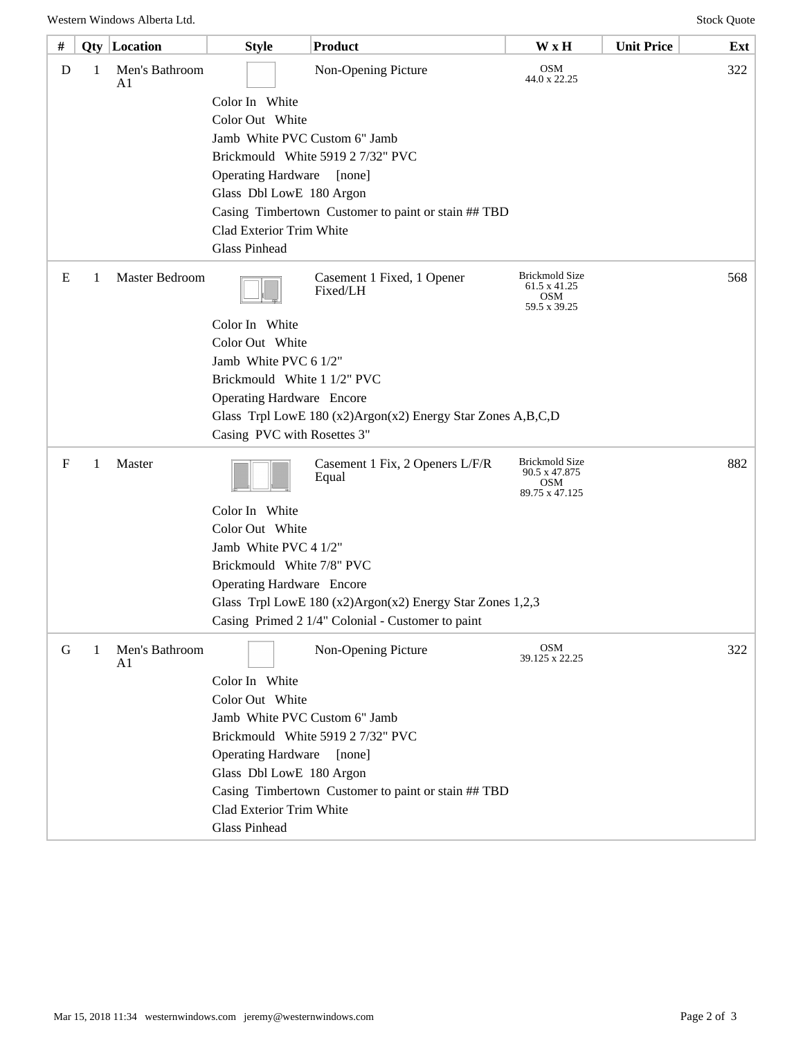| #                                                 |   | <b>Qty</b> Location  | <b>Style</b>                                                                                                                   | Product                                  | W x H                                                                  | <b>Unit Price</b> | Ext |
|---------------------------------------------------|---|----------------------|--------------------------------------------------------------------------------------------------------------------------------|------------------------------------------|------------------------------------------------------------------------|-------------------|-----|
| D                                                 | 1 | Men's Bathroom<br>A1 |                                                                                                                                | Non-Opening Picture                      | <b>OSM</b><br>44.0 x 22.25                                             |                   | 322 |
|                                                   |   |                      | Color In White                                                                                                                 |                                          |                                                                        |                   |     |
|                                                   |   |                      | Color Out White<br>Jamb White PVC Custom 6" Jamb                                                                               |                                          |                                                                        |                   |     |
|                                                   |   |                      |                                                                                                                                |                                          |                                                                        |                   |     |
|                                                   |   |                      | Brickmould White 5919 2 7/32" PVC                                                                                              |                                          |                                                                        |                   |     |
|                                                   |   |                      | <b>Operating Hardware</b><br>[none]                                                                                            |                                          |                                                                        |                   |     |
|                                                   |   |                      | Glass Dbl LowE 180 Argon                                                                                                       |                                          |                                                                        |                   |     |
|                                                   |   |                      | Casing Timbertown Customer to paint or stain ## TBD<br>Clad Exterior Trim White                                                |                                          |                                                                        |                   |     |
|                                                   |   |                      |                                                                                                                                |                                          |                                                                        |                   |     |
|                                                   |   |                      | <b>Glass Pinhead</b>                                                                                                           |                                          |                                                                        |                   |     |
| E                                                 | 1 | Master Bedroom       |                                                                                                                                | Casement 1 Fixed, 1 Opener<br>Fixed/LH   | <b>Brickmold Size</b><br>61.5 x 41.25<br><b>OSM</b><br>59.5 x 39.25    |                   | 568 |
|                                                   |   |                      | Color In White                                                                                                                 |                                          |                                                                        |                   |     |
|                                                   |   |                      | Color Out White                                                                                                                |                                          |                                                                        |                   |     |
|                                                   |   |                      | Jamb White PVC 6 1/2"                                                                                                          |                                          |                                                                        |                   |     |
|                                                   |   |                      | Brickmould White 1 1/2" PVC<br><b>Operating Hardware</b> Encore<br>Glass Trpl LowE 180 (x2)Argon(x2) Energy Star Zones A,B,C,D |                                          |                                                                        |                   |     |
|                                                   |   |                      |                                                                                                                                |                                          |                                                                        |                   |     |
|                                                   |   |                      |                                                                                                                                |                                          |                                                                        |                   |     |
|                                                   |   |                      | Casing PVC with Rosettes 3"                                                                                                    |                                          |                                                                        |                   |     |
| F                                                 | 1 | Master               |                                                                                                                                | Casement 1 Fix, 2 Openers L/F/R<br>Equal | <b>Brickmold Size</b><br>90.5 x 47.875<br><b>OSM</b><br>89.75 x 47.125 |                   | 882 |
|                                                   |   |                      | Color In White                                                                                                                 |                                          |                                                                        |                   |     |
|                                                   |   |                      | Color Out White                                                                                                                |                                          |                                                                        |                   |     |
|                                                   |   |                      | Jamb White PVC 4 1/2"<br>Brickmould White 7/8" PVC                                                                             |                                          |                                                                        |                   |     |
|                                                   |   |                      |                                                                                                                                |                                          |                                                                        |                   |     |
|                                                   |   |                      | <b>Operating Hardware</b> Encore                                                                                               |                                          |                                                                        |                   |     |
|                                                   |   |                      | Glass Trpl LowE 180 (x2)Argon(x2) Energy Star Zones 1,2,3                                                                      |                                          |                                                                        |                   |     |
| Casing Primed 2 1/4" Colonial - Customer to paint |   |                      |                                                                                                                                |                                          |                                                                        |                   |     |
| G                                                 | 1 | Men's Bathroom<br>A1 |                                                                                                                                | Non-Opening Picture                      | <b>OSM</b><br>39.125 x 22.25                                           |                   | 322 |
|                                                   |   |                      | Color In White                                                                                                                 |                                          |                                                                        |                   |     |
|                                                   |   |                      | Color Out White                                                                                                                |                                          |                                                                        |                   |     |
|                                                   |   |                      | Jamb White PVC Custom 6" Jamb                                                                                                  |                                          |                                                                        |                   |     |
|                                                   |   |                      |                                                                                                                                | Brickmould White 5919 2 7/32" PVC        |                                                                        |                   |     |
|                                                   |   |                      | <b>Operating Hardware</b>                                                                                                      | [none]                                   |                                                                        |                   |     |
|                                                   |   |                      | Glass Dbl LowE 180 Argon                                                                                                       |                                          |                                                                        |                   |     |
|                                                   |   |                      | Casing Timbertown Customer to paint or stain ## TBD<br>Clad Exterior Trim White                                                |                                          |                                                                        |                   |     |
|                                                   |   |                      |                                                                                                                                |                                          |                                                                        |                   |     |
| <b>Glass Pinhead</b>                              |   |                      |                                                                                                                                |                                          |                                                                        |                   |     |